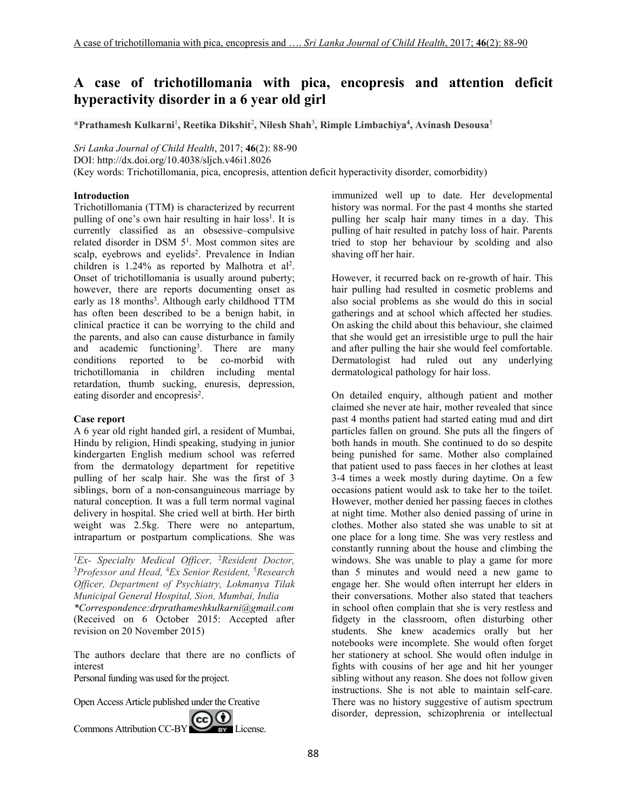# **A case of trichotillomania with pica, encopresis and attention deficit hyperactivity disorder in a 6 year old girl**

**\*Prathamesh Kulkarni**<sup>1</sup> **, Reetika Dikshit**<sup>2</sup> **, Nilesh Shah**<sup>3</sup> **, Rimple Limbachiya<sup>4</sup> , Avinash Desousa**<sup>5</sup>

*Sri Lanka Journal of Child Health*, 2017; **46**(2): 88-90

DOI: http://dx.doi.org/10.4038/sljch.v46i1.8026

(Key words: Trichotillomania, pica, encopresis, attention deficit hyperactivity disorder, comorbidity)

### **Introduction**

Trichotillomania (TTM) is characterized by recurrent pulling of one's own hair resulting in hair loss<sup>1</sup>. It is currently classified as an obsessive–compulsive related disorder in DSM 5<sup>1</sup>. Most common sites are scalp, eyebrows and eyelids<sup>2</sup>. Prevalence in Indian children is  $1.24\%$  as reported by Malhotra et al<sup>2</sup>. Onset of trichotillomania is usually around puberty; however, there are reports documenting onset as early as 18 months<sup>3</sup>. Although early childhood TTM has often been described to be a benign habit, in clinical practice it can be worrying to the child and the parents, and also can cause disturbance in family and academic functioning<sup>3</sup>. . There are many conditions reported to be co-morbid with trichotillomania in children including mental retardation, thumb sucking, enuresis, depression, eating disorder and encopresis<sup>2</sup>.

### **Case report**

A 6 year old right handed girl, a resident of Mumbai, Hindu by religion, Hindi speaking, studying in junior kindergarten English medium school was referred from the dermatology department for repetitive pulling of her scalp hair. She was the first of 3 siblings, born of a non-consanguineous marriage by natural conception. It was a full term normal vaginal delivery in hospital. She cried well at birth. Her birth weight was 2.5kg. There were no antepartum, intrapartum or postpartum complications. She was

\_\_\_\_\_\_\_\_\_\_\_\_\_\_\_\_\_\_\_\_\_\_\_\_\_\_\_\_\_\_\_\_\_\_\_\_\_\_\_\_\_\_\_

The authors declare that there are no conflicts of interest

Personal funding was used for the project.

Open Access Article published under the Creative

Commons Attribution CC-BY CC <sup>6</sup>

immunized well up to date. Her developmental history was normal. For the past 4 months she started pulling her scalp hair many times in a day. This pulling of hair resulted in patchy loss of hair. Parents tried to stop her behaviour by scolding and also shaving off her hair.

However, it recurred back on re-growth of hair. This hair pulling had resulted in cosmetic problems and also social problems as she would do this in social gatherings and at school which affected her studies. On asking the child about this behaviour, she claimed that she would get an irresistible urge to pull the hair and after pulling the hair she would feel comfortable. Dermatologist had ruled out any underlying dermatological pathology for hair loss.

On detailed enquiry, although patient and mother claimed she never ate hair, mother revealed that since past 4 months patient had started eating mud and dirt particles fallen on ground. She puts all the fingers of both hands in mouth. She continued to do so despite being punished for same. Mother also complained that patient used to pass faeces in her clothes at least 3-4 times a week mostly during daytime. On a few occasions patient would ask to take her to the toilet. However, mother denied her passing faeces in clothes at night time. Mother also denied passing of urine in clothes. Mother also stated she was unable to sit at one place for a long time. She was very restless and constantly running about the house and climbing the windows. She was unable to play a game for more than 5 minutes and would need a new game to engage her. She would often interrupt her elders in their conversations. Mother also stated that teachers in school often complain that she is very restless and fidgety in the classroom, often disturbing other students. She knew academics orally but her notebooks were incomplete. She would often forget her stationery at school. She would often indulge in fights with cousins of her age and hit her younger sibling without any reason. She does not follow given instructions. She is not able to maintain self-care. There was no history suggestive of autism spectrum disorder, depression, schizophrenia or intellectual

*<sup>1</sup>Ex- Specialty Medical Officer,* <sup>2</sup>*Resident Doctor,*  <sup>3</sup>*Professor and Head,* <sup>4</sup>*Ex Senior Resident,* <sup>5</sup>*Research Officer, Department of Psychiatry, Lokmanya Tilak Municipal General Hospital, Sion, Mumbai, India*

*<sup>\*</sup>Correspondence:drprathameshkulkarni@gmail.com*  (Received on 6 October 2015: Accepted after revision on 20 November 2015)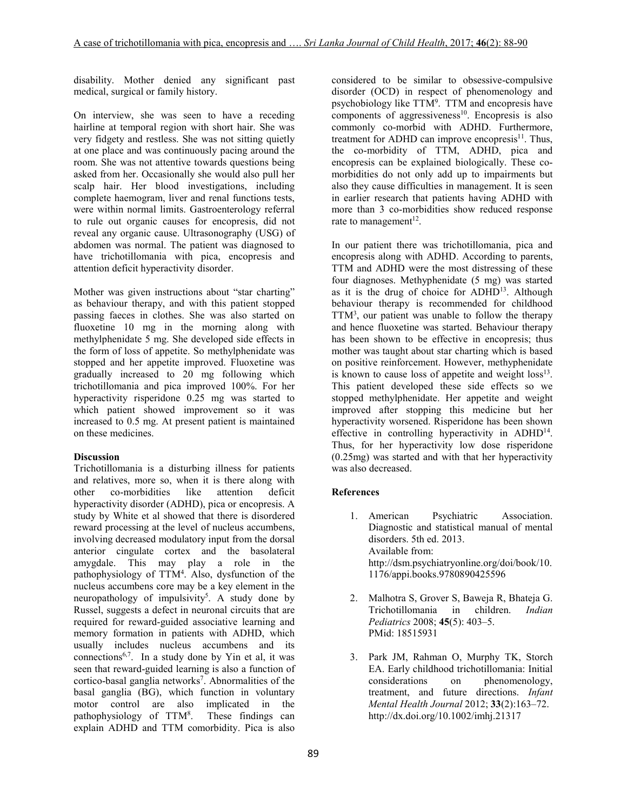disability. Mother denied any significant past medical, surgical or family history.

On interview, she was seen to have a receding hairline at temporal region with short hair. She was very fidgety and restless. She was not sitting quietly at one place and was continuously pacing around the room. She was not attentive towards questions being asked from her. Occasionally she would also pull her scalp hair. Her blood investigations, including complete haemogram, liver and renal functions tests, were within normal limits. Gastroenterology referral to rule out organic causes for encopresis, did not reveal any organic cause. Ultrasonography (USG) of abdomen was normal. The patient was diagnosed to have trichotillomania with pica, encopresis and attention deficit hyperactivity disorder.

Mother was given instructions about "star charting" as behaviour therapy, and with this patient stopped passing faeces in clothes. She was also started on fluoxetine 10 mg in the morning along with methylphenidate 5 mg. She developed side effects in the form of loss of appetite. So methylphenidate was stopped and her appetite improved. Fluoxetine was gradually increased to 20 mg following which trichotillomania and pica improved 100%. For her hyperactivity risperidone 0.25 mg was started to which patient showed improvement so it was increased to 0.5 mg. At present patient is maintained on these medicines.

### **Discussion**

Trichotillomania is a disturbing illness for patients and relatives, more so, when it is there along with other co-morbidities like attention deficit hyperactivity disorder (ADHD), pica or encopresis. A study by White et al showed that there is disordered reward processing at the level of nucleus accumbens, involving decreased modulatory input from the dorsal anterior cingulate cortex and the basolateral amygdale. This may play a role in the pathophysiology of TTM<sup>4</sup>. Also, dysfunction of the nucleus accumbens core may be a key element in the neuropathology of impulsivity<sup>5</sup>. A study done by Russel, suggests a defect in neuronal circuits that are required for reward-guided associative learning and memory formation in patients with ADHD, which usually includes nucleus accumbens and its connections<sup>6,7</sup>. In a study done by Yin et al, it was seen that reward-guided learning is also a function of cortico-basal ganglia networks<sup>7</sup>. Abnormalities of the basal ganglia (BG), which function in voluntary motor control are also implicated in the pathophysiology of TTM<sup>8</sup> These findings can explain ADHD and TTM comorbidity. Pica is also

considered to be similar to obsessive-compulsive disorder (OCD) in respect of phenomenology and psychobiology like TTM<sup>9</sup>. TTM and encopresis have components of aggressiveness $10$ . Encopresis is also commonly co-morbid with ADHD. Furthermore, treatment for ADHD can improve encopresis $^{11}$ . Thus, the co-morbidity of TTM, ADHD, pica and encopresis can be explained biologically. These comorbidities do not only add up to impairments but also they cause difficulties in management. It is seen in earlier research that patients having ADHD with more than 3 co-morbidities show reduced response rate to management<sup>12</sup>.

In our patient there was trichotillomania, pica and encopresis along with ADHD. According to parents, TTM and ADHD were the most distressing of these four diagnoses. Methyphenidate (5 mg) was started as it is the drug of choice for ADHD<sup>13</sup>. Although behaviour therapy is recommended for childhood TTM<sup>3</sup>, our patient was unable to follow the therapy and hence fluoxetine was started. Behaviour therapy has been shown to be effective in encopresis; thus mother was taught about star charting which is based on positive reinforcement. However, methyphenidate is known to cause loss of appetite and weight  $loss<sup>13</sup>$ . This patient developed these side effects so we stopped methylphenidate. Her appetite and weight improved after stopping this medicine but her hyperactivity worsened. Risperidone has been shown effective in controlling hyperactivity in ADHD<sup>14</sup>. Thus, for her hyperactivity low dose risperidone (0.25mg) was started and with that her hyperactivity was also decreased.

## **References**

- 1. American Psychiatric Association. Diagnostic and statistical manual of mental disorders. 5th ed. 2013. Available from: http://dsm.psychiatryonline.org/doi/book/10. 1176/appi.books.9780890425596
- 2. Malhotra S, Grover S, Baweja R, Bhateja G. Trichotillomania in children. *Indian Pediatrics* 2008; **45**(5): 403–5. PMid: 18515931
- 3. Park JM, Rahman O, Murphy TK, Storch EA. Early childhood trichotillomania: Initial considerations on phenomenology, treatment, and future directions. *Infant Mental Health Journal* 2012; **33**(2):163–72. http://dx.doi.org/10.1002/imhj.21317